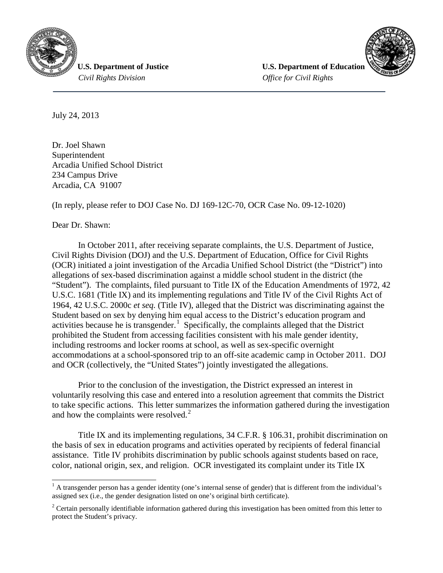

 *Civil Rights Division Office for Civil Rights*

**U.S. Department of Justice**  *U.S. Department of Education* 



July 24, 2013

Dr. Joel Shawn Superintendent Arcadia Unified School District 234 Campus Drive Arcadia, CA 91007

(In reply, please refer to DOJ Case No. DJ 169-12C-70, OCR Case No. 09-12-1020)

Dear Dr. Shawn:

In October 2011, after receiving separate complaints, the U.S. Department of Justice, Civil Rights Division (DOJ) and the U.S. Department of Education, Office for Civil Rights (OCR) initiated a joint investigation of the Arcadia Unified School District (the "District") into allegations of sex-based discrimination against a middle school student in the district (the "Student"). The complaints, filed pursuant to Title IX of the Education Amendments of 1972, 42 U.S.C. 1681 (Title IX) and its implementing regulations and Title IV of the Civil Rights Act of 1964, 42 U.S.C. 2000c *et seq.* (Title IV), alleged that the District was discriminating against the Student based on sex by denying him equal access to the District's education program and activities because he is transgender.<sup>[1](#page-0-0)</sup> Specifically, the complaints alleged that the District prohibited the Student from accessing facilities consistent with his male gender identity, including restrooms and locker rooms at school, as well as sex-specific overnight accommodations at a school-sponsored trip to an off-site academic camp in October 2011. DOJ and OCR (collectively, the "United States") jointly investigated the allegations.

Prior to the conclusion of the investigation, the District expressed an interest in voluntarily resolving this case and entered into a resolution agreement that commits the District to take specific actions. This letter summarizes the information gathered during the investigation and how the complaints were resolved.<sup>[2](#page-0-1)</sup>

Title IX and its implementing regulations, 34 C.F.R. § 106.31, prohibit discrimination on the basis of sex in education programs and activities operated by recipients of federal financial assistance. Title IV prohibits discrimination by public schools against students based on race, color, national origin, sex, and religion. OCR investigated its complaint under its Title IX

<span id="page-0-0"></span> $<sup>1</sup>$  A transgender person has a gender identity (one's internal sense of gender) that is different from the individual's</sup> assigned sex (i.e., the gender designation listed on one's original birth certificate).

<span id="page-0-1"></span><sup>&</sup>lt;sup>2</sup> Certain personally identifiable information gathered during this investigation has been omitted from this letter to protect the Student's privacy.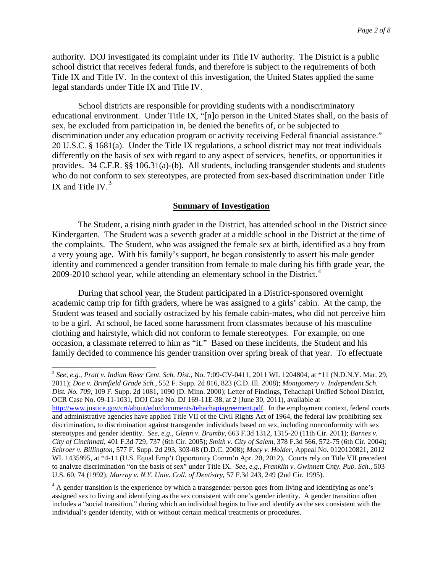authority. DOJ investigated its complaint under its Title IV authority. The District is a public school district that receives federal funds, and therefore is subject to the requirements of both Title IX and Title IV. In the context of this investigation, the United States applied the same legal standards under Title IX and Title IV.

School districts are responsible for providing students with a nondiscriminatory educational environment. Under Title IX, "[n]o person in the United States shall, on the basis of sex, be excluded from participation in, be denied the benefits of, or be subjected to discrimination under any education program or activity receiving Federal financial assistance." 20 U.S.C. § 1681(a). Under the Title IX regulations, a school district may not treat individuals differently on the basis of sex with regard to any aspect of services, benefits, or opportunities it provides. 34 C.F.R. §§ 106.31(a)-(b). All students, including transgender students and students who do not conform to sex stereotypes, are protected from sex-based discrimination under Title IX and Title IV. $3$ 

# **Summary of Investigation**

The Student, a rising ninth grader in the District, has attended school in the District since Kindergarten. The Student was a seventh grader at a middle school in the District at the time of the complaints. The Student, who was assigned the female sex at birth, identified as a boy from a very young age. With his family's support, he began consistently to assert his male gender identity and commenced a gender transition from female to male during his fifth grade year, the 2009-2010 school year, while attending an elementary school in the District.<sup>[4](#page-1-1)</sup>

During that school year, the Student participated in a District-sponsored overnight academic camp trip for fifth graders, where he was assigned to a girls' cabin. At the camp, the Student was teased and socially ostracized by his female cabin-mates, who did not perceive him to be a girl. At school, he faced some harassment from classmates because of his masculine clothing and hairstyle, which did not conform to female stereotypes. For example, on one occasion, a classmate referred to him as "it." Based on these incidents, the Student and his family decided to commence his gender transition over spring break of that year. To effectuate

<span id="page-1-0"></span> 3 *See, e.g., Pratt v. Indian River Cent. Sch. Dist.,* No. 7:09-CV-0411, 2011 WL 1204804, at \*11 (N.D.N.Y. Mar. 29, 2011); *Doe v. Brimfield Grade Sch.,* 552 F. Supp. 2d 816, 823 (C.D. Ill. 2008); *Montgomery v. Independent Sch. Dist. No. 709*, 109 F. Supp. 2d 1081, 1090 (D. Minn. 2000); Letter of Findings, Tehachapi Unified School District, OCR Case No. 09-11-1031, DOJ Case No. DJ 169-11E-38, at 2 (June 30, 2011), available at [http://www.justice.gov/crt/about/edu/documents/tehachapiagreement.pdf.](http://www.justice.gov/crt/about/edu/documents/tehachapiagreement.pdf) In the employment context, federal courts and administrative agencies have applied Title VII of the Civil Rights Act of 1964, the federal law prohibiting sex discrimination, to discrimination against transgender individuals based on sex, including nonconformity with sex stereotypes and gender identity. *See, e.g., Glenn v. Brumby*, 663 F.3d 1312, 1315-20 (11th Cir. 2011); *Barnes v. City of Cincinnati*, 401 F.3d 729, 737 (6th Cir. 2005); *Smith v. City of Salem*, 378 F.3d 566, 572-75 (6th Cir. 2004); *Schroer v. Billington*, 577 F. Supp. 2d 293, 303-08 (D.D.C. 2008); *Macy v. Holder,* Appeal No. 0120120821, 2012 WL 1435995, at \*4-11 (U.S. Equal Emp't Opportunity Comm'n Apr. 20, 2012). Courts rely on Title VII precedent to analyze discrimination "on the basis of sex" under Title IX. *See, e.g.*, *Franklin v. Gwinnett Cnty. Pub. Sch.*, 503 U.S. 60, 74 (1992); *Murray v. N.Y. Univ. Coll. of Dentistry*, 57 F.3d 243, 249 (2nd Cir. 1995).

<span id="page-1-1"></span><sup>4</sup> A gender transition is the experience by which a transgender person goes from living and identifying as one's assigned sex to living and identifying as the sex consistent with one's gender identity. A gender transition often includes a "social transition," during which an individual begins to live and identify as the sex consistent with the individual's gender identity, with or without certain medical treatments or procedures.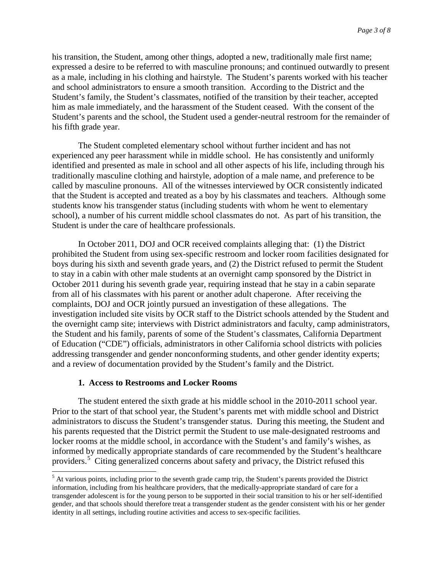his transition, the Student, among other things, adopted a new, traditionally male first name; expressed a desire to be referred to with masculine pronouns; and continued outwardly to present as a male, including in his clothing and hairstyle. The Student's parents worked with his teacher and school administrators to ensure a smooth transition. According to the District and the Student's family, the Student's classmates, notified of the transition by their teacher, accepted him as male immediately, and the harassment of the Student ceased. With the consent of the Student's parents and the school, the Student used a gender-neutral restroom for the remainder of his fifth grade year.

The Student completed elementary school without further incident and has not experienced any peer harassment while in middle school. He has consistently and uniformly identified and presented as male in school and all other aspects of his life, including through his traditionally masculine clothing and hairstyle, adoption of a male name, and preference to be called by masculine pronouns. All of the witnesses interviewed by OCR consistently indicated that the Student is accepted and treated as a boy by his classmates and teachers. Although some students know his transgender status (including students with whom he went to elementary school), a number of his current middle school classmates do not. As part of his transition, the Student is under the care of healthcare professionals.

In October 2011, DOJ and OCR received complaints alleging that: (1) the District prohibited the Student from using sex-specific restroom and locker room facilities designated for boys during his sixth and seventh grade years, and (2) the District refused to permit the Student to stay in a cabin with other male students at an overnight camp sponsored by the District in October 2011 during his seventh grade year, requiring instead that he stay in a cabin separate from all of his classmates with his parent or another adult chaperone. After receiving the complaints, DOJ and OCR jointly pursued an investigation of these allegations. The investigation included site visits by OCR staff to the District schools attended by the Student and the overnight camp site; interviews with District administrators and faculty, camp administrators, the Student and his family, parents of some of the Student's classmates, California Department of Education ("CDE") officials, administrators in other California school districts with policies addressing transgender and gender nonconforming students, and other gender identity experts; and a review of documentation provided by the Student's family and the District.

# **1. Access to Restrooms and Locker Rooms**

The student entered the sixth grade at his middle school in the 2010-2011 school year. Prior to the start of that school year, the Student's parents met with middle school and District administrators to discuss the Student's transgender status. During this meeting, the Student and his parents requested that the District permit the Student to use male-designated restrooms and locker rooms at the middle school, in accordance with the Student's and family's wishes, as informed by medically appropriate standards of care recommended by the Student's healthcare providers.<sup>[5](#page-2-0)</sup> Citing generalized concerns about safety and privacy, the District refused this

<span id="page-2-0"></span><sup>&</sup>lt;sup>5</sup> At various points, including prior to the seventh grade camp trip, the Student's parents provided the District information, including from his healthcare providers, that the medically-appropriate standard of care for a transgender adolescent is for the young person to be supported in their social transition to his or her self-identified gender, and that schools should therefore treat a transgender student as the gender consistent with his or her gender identity in all settings, including routine activities and access to sex-specific facilities.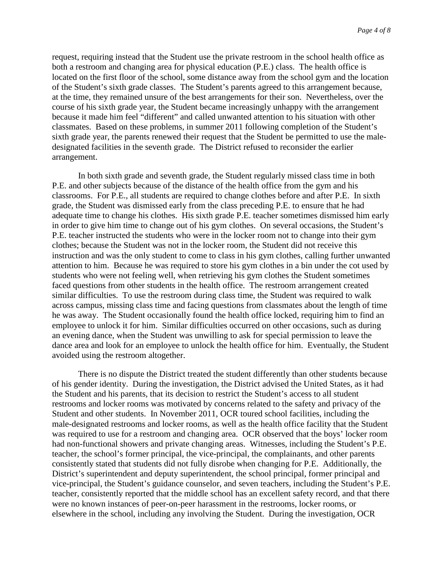request, requiring instead that the Student use the private restroom in the school health office as both a restroom and changing area for physical education (P.E.) class. The health office is located on the first floor of the school, some distance away from the school gym and the location of the Student's sixth grade classes. The Student's parents agreed to this arrangement because, at the time, they remained unsure of the best arrangements for their son. Nevertheless, over the course of his sixth grade year, the Student became increasingly unhappy with the arrangement because it made him feel "different" and called unwanted attention to his situation with other classmates. Based on these problems, in summer 2011 following completion of the Student's sixth grade year, the parents renewed their request that the Student be permitted to use the maledesignated facilities in the seventh grade. The District refused to reconsider the earlier arrangement.

In both sixth grade and seventh grade, the Student regularly missed class time in both P.E. and other subjects because of the distance of the health office from the gym and his classrooms. For P.E., all students are required to change clothes before and after P.E. In sixth grade, the Student was dismissed early from the class preceding P.E. to ensure that he had adequate time to change his clothes. His sixth grade P.E. teacher sometimes dismissed him early in order to give him time to change out of his gym clothes. On several occasions, the Student's P.E. teacher instructed the students who were in the locker room not to change into their gym clothes; because the Student was not in the locker room, the Student did not receive this instruction and was the only student to come to class in his gym clothes, calling further unwanted attention to him. Because he was required to store his gym clothes in a bin under the cot used by students who were not feeling well, when retrieving his gym clothes the Student sometimes faced questions from other students in the health office. The restroom arrangement created similar difficulties. To use the restroom during class time, the Student was required to walk across campus, missing class time and facing questions from classmates about the length of time he was away. The Student occasionally found the health office locked, requiring him to find an employee to unlock it for him. Similar difficulties occurred on other occasions, such as during an evening dance, when the Student was unwilling to ask for special permission to leave the dance area and look for an employee to unlock the health office for him. Eventually, the Student avoided using the restroom altogether.

There is no dispute the District treated the student differently than other students because of his gender identity. During the investigation, the District advised the United States, as it had the Student and his parents, that its decision to restrict the Student's access to all student restrooms and locker rooms was motivated by concerns related to the safety and privacy of the Student and other students. In November 2011, OCR toured school facilities, including the male-designated restrooms and locker rooms, as well as the health office facility that the Student was required to use for a restroom and changing area. OCR observed that the boys' locker room had non-functional showers and private changing areas. Witnesses, including the Student's P.E. teacher, the school's former principal, the vice-principal, the complainants, and other parents consistently stated that students did not fully disrobe when changing for P.E. Additionally, the District's superintendent and deputy superintendent, the school principal, former principal and vice-principal, the Student's guidance counselor, and seven teachers, including the Student's P.E. teacher, consistently reported that the middle school has an excellent safety record, and that there were no known instances of peer-on-peer harassment in the restrooms, locker rooms, or elsewhere in the school, including any involving the Student. During the investigation, OCR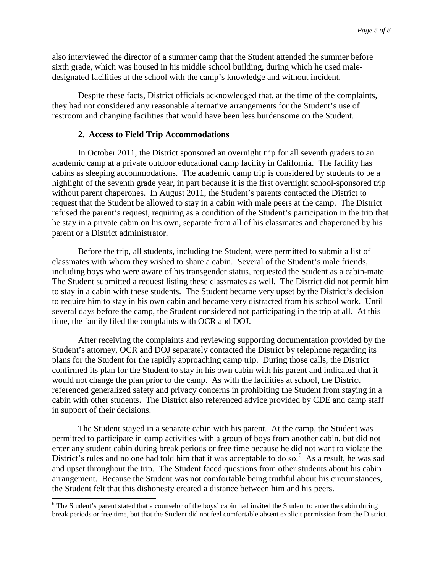also interviewed the director of a summer camp that the Student attended the summer before sixth grade, which was housed in his middle school building, during which he used maledesignated facilities at the school with the camp's knowledge and without incident.

Despite these facts, District officials acknowledged that, at the time of the complaints, they had not considered any reasonable alternative arrangements for the Student's use of restroom and changing facilities that would have been less burdensome on the Student.

## **2. Access to Field Trip Accommodations**

In October 2011, the District sponsored an overnight trip for all seventh graders to an academic camp at a private outdoor educational camp facility in California. The facility has cabins as sleeping accommodations. The academic camp trip is considered by students to be a highlight of the seventh grade year, in part because it is the first overnight school-sponsored trip without parent chaperones. In August 2011, the Student's parents contacted the District to request that the Student be allowed to stay in a cabin with male peers at the camp. The District refused the parent's request, requiring as a condition of the Student's participation in the trip that he stay in a private cabin on his own, separate from all of his classmates and chaperoned by his parent or a District administrator.

Before the trip, all students, including the Student, were permitted to submit a list of classmates with whom they wished to share a cabin. Several of the Student's male friends, including boys who were aware of his transgender status, requested the Student as a cabin-mate. The Student submitted a request listing these classmates as well. The District did not permit him to stay in a cabin with these students. The Student became very upset by the District's decision to require him to stay in his own cabin and became very distracted from his school work. Until several days before the camp, the Student considered not participating in the trip at all. At this time, the family filed the complaints with OCR and DOJ.

After receiving the complaints and reviewing supporting documentation provided by the Student's attorney, OCR and DOJ separately contacted the District by telephone regarding its plans for the Student for the rapidly approaching camp trip. During those calls, the District confirmed its plan for the Student to stay in his own cabin with his parent and indicated that it would not change the plan prior to the camp. As with the facilities at school, the District referenced generalized safety and privacy concerns in prohibiting the Student from staying in a cabin with other students. The District also referenced advice provided by CDE and camp staff in support of their decisions.

The Student stayed in a separate cabin with his parent. At the camp, the Student was permitted to participate in camp activities with a group of boys from another cabin, but did not enter any student cabin during break periods or free time because he did not want to violate the District's rules and no one had told him that it was acceptable to do so.<sup>[6](#page-4-0)</sup> As a result, he was sad and upset throughout the trip. The Student faced questions from other students about his cabin arrangement. Because the Student was not comfortable being truthful about his circumstances, the Student felt that this dishonesty created a distance between him and his peers.

<span id="page-4-0"></span><sup>&</sup>lt;sup>6</sup> The Student's parent stated that a counselor of the boys' cabin had invited the Student to enter the cabin during break periods or free time, but that the Student did not feel comfortable absent explicit permission from the District.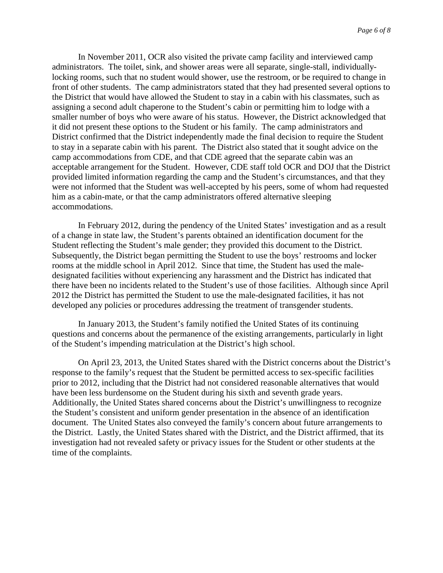In November 2011, OCR also visited the private camp facility and interviewed camp administrators. The toilet, sink, and shower areas were all separate, single-stall, individuallylocking rooms, such that no student would shower, use the restroom, or be required to change in front of other students. The camp administrators stated that they had presented several options to the District that would have allowed the Student to stay in a cabin with his classmates, such as assigning a second adult chaperone to the Student's cabin or permitting him to lodge with a smaller number of boys who were aware of his status. However, the District acknowledged that it did not present these options to the Student or his family. The camp administrators and District confirmed that the District independently made the final decision to require the Student to stay in a separate cabin with his parent. The District also stated that it sought advice on the camp accommodations from CDE, and that CDE agreed that the separate cabin was an acceptable arrangement for the Student. However, CDE staff told OCR and DOJ that the District provided limited information regarding the camp and the Student's circumstances, and that they were not informed that the Student was well-accepted by his peers, some of whom had requested him as a cabin-mate, or that the camp administrators offered alternative sleeping accommodations.

In February 2012, during the pendency of the United States' investigation and as a result of a change in state law, the Student's parents obtained an identification document for the Student reflecting the Student's male gender; they provided this document to the District. Subsequently, the District began permitting the Student to use the boys' restrooms and locker rooms at the middle school in April 2012. Since that time, the Student has used the maledesignated facilities without experiencing any harassment and the District has indicated that there have been no incidents related to the Student's use of those facilities. Although since April 2012 the District has permitted the Student to use the male-designated facilities, it has not developed any policies or procedures addressing the treatment of transgender students.

In January 2013, the Student's family notified the United States of its continuing questions and concerns about the permanence of the existing arrangements, particularly in light of the Student's impending matriculation at the District's high school.

On April 23, 2013, the United States shared with the District concerns about the District's response to the family's request that the Student be permitted access to sex-specific facilities prior to 2012, including that the District had not considered reasonable alternatives that would have been less burdensome on the Student during his sixth and seventh grade years. Additionally, the United States shared concerns about the District's unwillingness to recognize the Student's consistent and uniform gender presentation in the absence of an identification document. The United States also conveyed the family's concern about future arrangements to the District. Lastly, the United States shared with the District, and the District affirmed, that its investigation had not revealed safety or privacy issues for the Student or other students at the time of the complaints.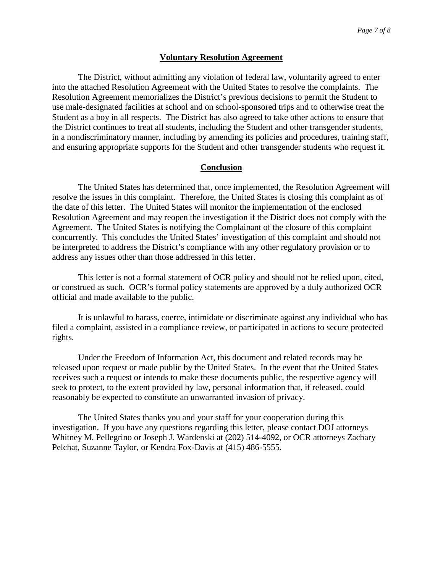#### **Voluntary Resolution Agreement**

The District, without admitting any violation of federal law, voluntarily agreed to enter into the attached Resolution Agreement with the United States to resolve the complaints. The Resolution Agreement memorializes the District's previous decisions to permit the Student to use male-designated facilities at school and on school-sponsored trips and to otherwise treat the Student as a boy in all respects. The District has also agreed to take other actions to ensure that the District continues to treat all students, including the Student and other transgender students, in a nondiscriminatory manner, including by amending its policies and procedures, training staff, and ensuring appropriate supports for the Student and other transgender students who request it.

### **Conclusion**

The United States has determined that, once implemented, the Resolution Agreement will resolve the issues in this complaint. Therefore, the United States is closing this complaint as of the date of this letter. The United States will monitor the implementation of the enclosed Resolution Agreement and may reopen the investigation if the District does not comply with the Agreement. The United States is notifying the Complainant of the closure of this complaint concurrently. This concludes the United States' investigation of this complaint and should not be interpreted to address the District's compliance with any other regulatory provision or to address any issues other than those addressed in this letter.

This letter is not a formal statement of OCR policy and should not be relied upon, cited, or construed as such. OCR's formal policy statements are approved by a duly authorized OCR official and made available to the public.

It is unlawful to harass, coerce, intimidate or discriminate against any individual who has filed a complaint, assisted in a compliance review, or participated in actions to secure protected rights.

Under the Freedom of Information Act, this document and related records may be released upon request or made public by the United States. In the event that the United States receives such a request or intends to make these documents public, the respective agency will seek to protect, to the extent provided by law, personal information that, if released, could reasonably be expected to constitute an unwarranted invasion of privacy.

The United States thanks you and your staff for your cooperation during this investigation. If you have any questions regarding this letter, please contact DOJ attorneys Whitney M. Pellegrino or Joseph J. Wardenski at (202) 514-4092, or OCR attorneys Zachary Pelchat, Suzanne Taylor, or Kendra Fox-Davis at (415) 486-5555.